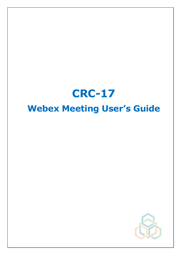# **CRC-17 Webex Meeting User's Guide**

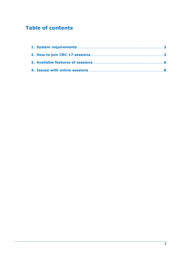# **Table of contents**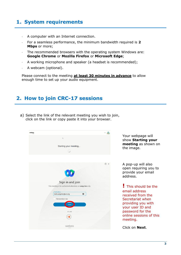# <span id="page-2-0"></span>**1. System requirements**

- A computer with an Internet connection.
- For a seamless performance, the minimum bandwidth required is **2 Mbps** or more;
- The recommended browsers with the operating system Windows are: **Google Chrome** or **Mozilla Firefox** or **Microsoft Edge**;
- A working microphone and speaker (a headset is recommended);
- A webcam (optional).

Please connect to the meeting **at least 30 minutes in advance** to allow enough time to set up your audio equipment.

## <span id="page-2-1"></span>**2. How to join CRC-17 sessions**

a) Select the link of the relevant meeting you wish to join, click on the link or copy paste it into your browser.

| webex |                                                            | ௸<br>For         |
|-------|------------------------------------------------------------|------------------|
|       | $\mathbb Q$                                                |                  |
|       | Starting your meeting                                      |                  |
|       |                                                            |                  |
|       |                                                            |                  |
|       |                                                            | $\odot$ $\times$ |
|       | 10                                                         |                  |
|       | Sign in and join                                           |                  |
|       | This meeting is for authorized attendees on unep-brs only. |                  |
|       | -Email address-<br>$\bullet$<br>leslie.angeles@un.org      |                  |
|       | Remember me                                                |                  |
|       | Next                                                       |                  |
|       | or use                                                     |                  |
|       |                                                            |                  |
|       | by CISCO                                                   |                  |

Your webpage will show **Starting your meeting** as shown on the image.

A pop-up will also open requiring you to provide your email address.

**!** This should be the email address received from the Secretariat when providing you with your user ID and password for the online sessions of this meeting.

Click on **Next**.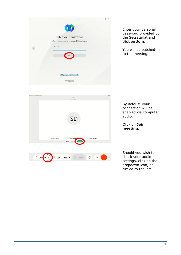|           | $\bullet$                                                           | $\sim$ |
|-----------|---------------------------------------------------------------------|--------|
|           | Enter your password<br>Enter your password for mcqueen21@ymail.com. |        |
| $\langle$ | -Password-                                                          |        |
|           | Join                                                                |        |
|           |                                                                     |        |
|           | Forgot your password?                                               |        |
|           | ebex<br>by CISCO                                                    |        |

Enter your personal password provided by the Secretariat and click on **Join**.

You will be patched-in to the meeting.



By default, your connection will be enabled via computer audio.

Click on **Join meeting**.

Should you wish to check your audio settings, click on the dropdown icon, as circled to the left.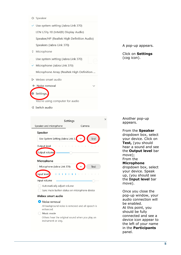- <
1) Speaker
- $\checkmark$  Use system setting (Jabra Link 370) LEN L27q-10 (Intel(R) Display Audio) Speaker/HP (Realtek High Definition Audio) Speakers (Jabra Link 370) 0 Microphone Use system setting (Jabra Link 370)  $\checkmark$  Microphone (Jabra Link 370) Microphone Array (Realtek High Definition ... Q<sub>u</sub> Webex smart audio **↓ Noise removal** @ Settings.

You're using computer for audio

→2 Switch audio

A pop-up appears.

Click on **Settings** (cog icon).

| Settings                                                                                                                                                                                                                                                       |        |        |  |
|----------------------------------------------------------------------------------------------------------------------------------------------------------------------------------------------------------------------------------------------------------------|--------|--------|--|
| Speaker and microphone                                                                                                                                                                                                                                         |        | Camera |  |
| Speaker                                                                                                                                                                                                                                                        |        |        |  |
| Use System Setting (Jabra Link 3                                                                                                                                                                                                                               |        | Test   |  |
| Output level<br><b>The Contract of the Contract of the Contract of the Contract of the Contract of the Contract of the Contract of the Contract of the Contract of the Contract of the Contract of the Contract of The Contract of The Contract </b><br>$\sim$ | $\sim$ |        |  |
| Output volume                                                                                                                                                                                                                                                  |        |        |  |
| Microphone                                                                                                                                                                                                                                                     |        |        |  |
| Microphone (Jabra Link 370)                                                                                                                                                                                                                                    |        | Test   |  |
| Input level                                                                                                                                                                                                                                                    | - 1    |        |  |
| Input volume                                                                                                                                                                                                                                                   |        |        |  |
| Automatically adjust volume                                                                                                                                                                                                                                    |        |        |  |
| Sync mute button status on microphone device                                                                                                                                                                                                                   |        |        |  |

#### Webex smart audio

#### Noise removal

All background noise is removed and all speech is enhanced.

#### ◯ Music mode

Others hear the original sound when you play an instrument or sing.

Another pop-up appears.

 $\times$ 

From the **Speaker** dropdown box, select your device. Click on **Test,** (you should hear a sound and see the **Output level** bar move); From the **Microphone** dropdown box, select your device. Speak up, (you should see the **Input level** bar move).

Once you close the pop-up window, your audio connection will be enabled. At this point, you should be fully connected and see a device icon appear to the left of your name in the **Participants** panel.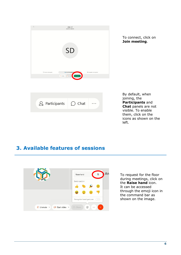| $\tilde{L}_{\rm c}$ |                         | <b>CRC-17</b><br>03:50 PM - 04:50 PM              |                               |
|---------------------|-------------------------|---------------------------------------------------|-------------------------------|
|                     |                         |                                                   |                               |
|                     |                         |                                                   |                               |
|                     |                         |                                                   |                               |
|                     |                         | SD                                                |                               |
|                     |                         |                                                   |                               |
|                     |                         |                                                   |                               |
|                     | Connect to video system | Audio: Use computer au                            | @ Test speaker and microphone |
|                     |                         | 8 Unmute - <i>D</i> e Start video<br>Join meeting |                               |
|                     |                         |                                                   |                               |
|                     |                         |                                                   |                               |
|                     |                         |                                                   |                               |
|                     |                         |                                                   |                               |

To connect, click on **Join meeting**.

| $\mathcal{Q}_{\equiv}$ Participants $\bigcap$ Chat |  |  |
|----------------------------------------------------|--|--|
|----------------------------------------------------|--|--|

By default, when joining, the **Participants** and **Chat** panels are not visible. To enable them, click on the icons as shown on the left.

## <span id="page-5-0"></span>**3. Available features of sessions**



To request for the floor during meetings, click on the **Raise hand** icon. It can be accessed through the emoji icon in the command bar as shown on the image.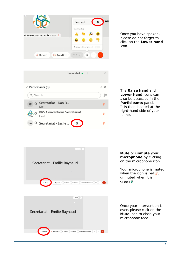| $\mu$                                                   | Lower hand                                         | Ø        | An |
|---------------------------------------------------------|----------------------------------------------------|----------|----|
| BRS Conventions Secretariat (Host) &                    | Send reaction<br>스<br>÷<br>호                       |          |    |
| $\Box$ <sup>8</sup> Start video $\vee$<br>Unmute $\sim$ | Recognize hand gestures<br>G<br><sup>1</sup> Share | $\cdots$ |    |

Once you have spoken, please do not forget to click on the **Lower hand** icon.

|                         | Connected $\bullet$ $\Box$                 |      |
|-------------------------|--------------------------------------------|------|
| $\vee$ Participants (3) |                                            | [4 X |
| Q Search                |                                            | JΞ   |
| SD.                     | ○ Secretariat - Dan D<br>Me                |      |
|                         | <b>BRS Conventions Secretariat</b><br>Host |      |
|                         | C Secretariat - Leslie<br>些                |      |

The **Raise hand** and **Lower hand** icons can also be accessed in the **Participants** panel. It is then located at the right-hand side of your name.



 $\n *g* Unmute\n$  $\mathbb{R}$ Secretariat - Emilie Raynaud Record 89 Breakout sessions Start video  $\sqrt{2}$  Share

**Mute** or **unmute** your **microphone** by clicking on the microphone icon.

Your microphone is muted when the icon is red  $\mathfrak{g}$ , unmuted when it is green .

Once your intervention is over, please click on the **Mute** icon to close your microphone feed.